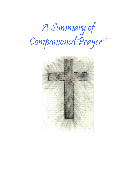

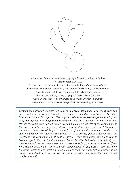

*A Summary of Companioned Prayer*, copyright © 2017 by William R. Stobbe This version dated 2/26/2022

The material in this document is excerpted from the book, *Companioned Prayer; An Interactive Prayer for Companions, Families and Small Groups*, © William Stobbe Cover illustration of the cross, copyright 2005 Minnet May-Stobbe Illustration of a dove, above, copyright © 2005 William R. Stobbe "Companioned Prayer" and "Companioned Prayer Christian Fellowship" are trademarks of Companioned Prayer Christian Fellowship, Incorporated

*Companioned Prayer™ includes the role of a prayer companion who reads text and accompanies the person who is praying. The prayer is offered and practiced as a Christian, interactive, contemplative prayer. The prayer experience is between the person praying and God, and requires an active faith relationship with Him or a searching for that relationship. Neither the companion nor the person praying should view the role of the companion, or the prayer practice or prayer experience, as a substitute for professional therapy or treatment. Companioned Prayer is not a form of therapeutic treatment. Neither is it spiritual direction nor spiritual counseling. It is a private, personal prayer with the assistance and companionship of another person. Your companions, the sponsoring or hosting organization and the Companioned Prayer Christian Fellowship, and their officers, members, employees and volunteers, are not responsible for your prayer experience. If you have related questions or concerns about Companioned Prayer, discuss them with your therapist, doctor and/or priest before beginning or engaging in any further practice of the prayer. You should not practice, or continue to practice, any prayer that you are not comfortable with.*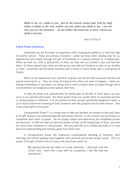*Abide in me, as I abide in you. Just as the branch cannot bear fruit by itself unless it abides in the vine, neither can you unless you abide in me. I am the vine, you are the branches. …As the Father has loved me, so have I loved you; abide in my love.*

John 15:4-5a, 9

## **A New Prayer Experience**

Sometimes we are fortunate to experience God's loving grace gifted to us with the help of another person. Those are precious moments – when we know God's abiding love for us, experienced and known through the gift of friendship or a special moment in a relationship. When we hold our child or grandchild, or when we look into our mother's eyes and feel her heart. Or those special times when we feel we are one with our husband or wife, or our brother or sister. Sometimes we find these moments with a friend, or more rarely, with a small group of friends.

When we do experience such moments of grace, we cherish their personal richness and special meaning for us. They are times of treasure that often just seem to happen – when our feeling of wholeness in ourselves, our family, and in God's creation seem to break through into a connectedness we recognize as very special, even holy.

In faith we know such opportunities for being open to the gift of God's grace can also occur in our worship and prayer. But these prayer times are usually either in corporate worship or solitary prayer or reflection. It is not common to find a prayer specifically designed to open us up to that private inner knowing of God's presence with the guidance of one other person. That is the unique gift of this prayer.

Companioned Prayer™ is a simple way to help one another be present to God and open to his gift of grace and understanding felt and known directly. In this manner we accompany or companion each other in prayer. Yet our prayer subject and experience are completely private and personal. In faith we take our personal prayer to God, to the loving heart of Jesus, and wait for some inner movement or discernment. We stay with this as it unfolds and leads us to new personal understanding and renewal, given from God's love.

In Companioned Prayer the traditional contemplative blending of devotion, alert listening, and faithful waiting come together with personal and private prayer issues. This is a prayer of the gift of God's love, his mercy felt and known within us.

> *"My spiritual journey has taken on a new dimension. I feel God's call and Christ's love. Each time I pray with my companion, I feel like God has touched me."*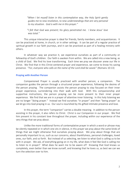*"When I let myself listen in this contemplative way, the Holy Spirit gently guides me to new revelation, to new understandings that are very personal to my situation. God is with me in this prayer."*

*"I felt that God was present; his glory penetrated me. I knew Jesus' love was total."*

This unique interactive prayer is ideal for friends, family members, and acquaintances. It can be practiced at home, in church, or in other settings. It can be part of a regular practice of spiritual growth in our faith journeys, and it can be practiced as part of a healing ministry with others.

In whatever way we practice it, we experience ourselves as part of a community or fellowship of God's children. Our faith is awoken from within. We are called into a new being, as a child of God. We find his love transforming. Each time we pray we discover anew our life in Christ. We find that in this Christ-centered prayer and experience, we come to know his saving presence. "*For, everyone who calls on the name of the Lord shall be saved.*" (Romans 10:13)

### **Praying with Another Person**

Companioned Prayer is usually practiced with another person, a companion. The companion guides the person through a structured prayer experience, following the desires of the person praying. The companion assists the person praying to stay focused on their inner prayer experience, surrendering into their walk with God. With this companionship and supportive instructions, the person praying can be more present to their inner prayer experience. We find that we are in a prayer of attentive inner listening. In this holy listening we are no longer "doing prayer." Instead we find ourselves "in prayer" and then "being prayer" as we let go into God praying in us. Our soul is nourished by His gifted intimate presence and love.

In this prayer, the term "companion" carries a double meaning. In addition to the person assisting in the prayer, it also refers to Christ. Christ is our Companion in our prayer. We find him present in his constant love throughout the prayer, including within our experience of the very things that we pray about.

Unlike the more traditional forms of contemplative prayer in which a word or phrase may be silently repeated or in which one sits in silence, in this prayer we pray about the same kinds of things that we might otherwise find ourselves praying about. We pray about things that are personally important to us, such as our concerns, about thankfulness, personal challenges, loved ones, our faith, and so forth. But instead of us selecting, we listen to what God is calling us to be with in prayer. We ask, of everything going on in my life, what does it feel like God is calling me to listen to in prayer? What does he want me to be aware of? Knowing that God knows us completely, even better than we know ourself, and knowing that he loves us, as best we can we turn the selection over to him.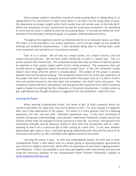Once a prayer subject is identified, instead of simply praying about it, talking about it, or asking God for his intervention or other action about it, we take it to the loving heart of Jesus. We experience our prayer subject within God's tender love and remain open to the Holy Spirit. Within the compassion of Jesus' sacred heart we wait for some inner movement – for something to come that we sense is related to what we are praying about. In this way we follow the inner direction of the Holy Spirit, letting her guide us to greater understanding and mercy.

Throughout this experience we let our attention also be on our physical nature, our body. This helps us to be grounded in our prayer experience, and to not get caught up into analytical thinking and emotional responsiveness. It also facilitates being open to noticing God's quiet inner movement and call within us in our present moment.

Each of us is unique. We all have our unique stories, our unique concerns, and our unique spiritual journeys. We are each called individually to God in a special way. This is a prayer practice that honors that. The companion knows that they are there to help the person be attentive to their prayer subject within Christ's loving presence. The companion does not provide advice or suggestions about the person's prayer issue. In fact, the companion usually doesn't even know what the person is praying about. The subject of the prayer is private, between God and the person praying. The companion knows from his or her own experience of the prayer that God's mercy and grace are found within the prayer issue as it is held in Christ's love and carried forward by the Holy Spirit into revelation, into God's mercy and grace. The companion knows that this is holy ground, that this graced felt movement from within cannot be made to happen by anything that the companion or the person praying does. It simply comes as gift; a gift beyond any thought of advice or suggestion from the companion. A gift from God.

## **Learning the Prayer**

When learning Companioned Prayer, this sense of gift, of God's presence within our concerns and within our daily lives, may not be obvious at first. For some people it is apparent after only a few experiences of the prayer. For others it is more gradual, kind of a dawning awareness, but very real and solid. Individual experiences vary. In the inner movement of symbols and graced understandings, some people's experiences frequently revolve around the themes of their faith; for example of Christ's presence in their life. For others, their graced inner movements and gifts may be obviously related to their faith only occasionally, with an understanding of how it all is a personal gift of faith coming at a later time. In any case, whether appreciated right away or later, a personal growing relationship with God and the sense of his miraculous love within our life is inevitable with regular practice of the prayer.

Learning the prayer is easy. As with any contemplative prayer, the best way to learn Companioned Prayer is with others such as a prayer group or learning program sponsored by your church or religious community, which offers an experience of instruction, ongoing practice, and fellowship. If one is not available in your area, get together with some friends and start one using the resources available on the Companioned Prayer Christian Fellowship's website at [www.CompanionedPrayer.org.](http://www.companionedprayer.org/)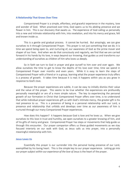#### **A Relationship That Grows Over Time**

Companioned Prayer is a simple, effortless, and graceful experience in the mystery, love and wonder of God. When practiced over time, God opens us to his abiding presence and we flower in him. This is our discovery that awaits us. The experience of God calling us personally into a new and intimate relationship with him, into revelation, and into his mercy and grace, felt and known inside us.

This is a gentle and gradual process. It cannot be hurried. But amazingly, we can give ourselves to it through Companioned Prayer. This prayer is not just something that we do; it is time we spend being open to, and nurturing of, our awareness of God as the prime mover and shaper of our lives. And when we do that consciously and regularly, we find that we are carried forward in his hands by his love, in ways beyond our knowing, that guides us and transforms our understanding of ourselves as children of him who loves us deeply.

So in faith we turn to God in prayer and give ourself to him over and over again. We allow ourselves the time to get to know the depths of his love over time; time we spend in Companioned Prayer over months and even years. While it is easy to learn the steps of Companioned Prayer with a friend or in a group, learning what the prayer experience truly offers is a process of growth. It takes time because it is real; it happens within you as you grow in response to God's love.

Because the prayer experiences are subtle, it can be easy to initially dismiss their value and the value of the prayer. This seems to be true whether the experiences are profoundly personally meaningful or are of a more simple nature. The key to experiencing the personal growth of our formation in Christ that Companioned Prayer offers over time, is to understand that while individual prayer experiences gift us with God's intimate mercy, the greater gift is his real presence to us. This is a presence of being in a personal relationship with our Lord, a presence and relationship that unfolds and develops over time as our awareness of him is nurtured through our many Companioned Prayer experiences.

How does this happen? It happens because God is love and he loves us. When we give ourselves to this love in trust and humility, we open ourselves to a greater knowing of him, and of his gifts of mercy and grace. Companioned Prayer has steps or movements that help guide us through this encounter. Our prayer companion offers us these guided movements as we stay focused interiorly on our walk with God, as Jesus calls us into prayer, into a personally meaningful relationship with him.

#### **Jesus Loves Us**

Essentially this prayer is our surrender into the personal loving presence of our Lord, exemplified by his loving heart. This is the simple key to our prayer experience. Letting go *into our prayer subject within our experience of the love of Jesus* is the heart of the prayer.